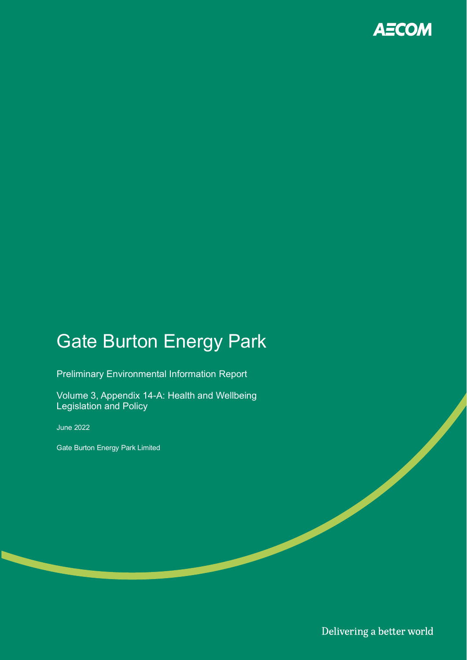

# Gate Burton Energy Park

Preliminary Environmental Information Report

Volume 3, Appendix 14-A: Health and Wellbeing Legislation and Policy

June 2022

Gate Burton Energy Park Limited

Delivering a better world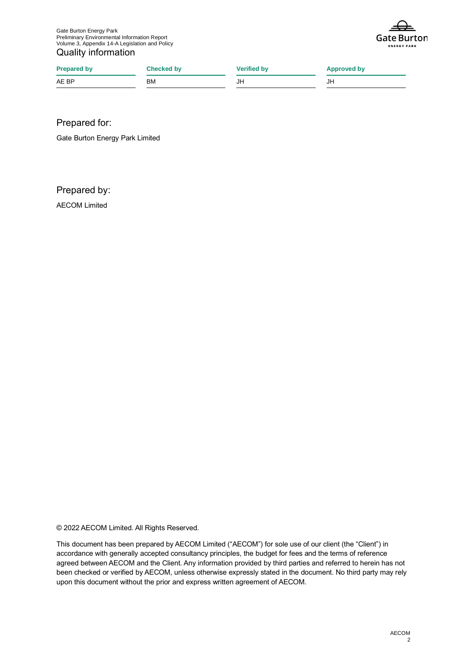Gate Burton Energy Park Preliminary Environmental Information Report Volume 3, Appendix 14-A Legislation and Policy Quality information



| <b>Prepared by</b> | Checked by | <b>Verified by</b> | <b>Approved by</b> |
|--------------------|------------|--------------------|--------------------|
| AE BP              | <b>BM</b>  | JH                 | JH                 |

Prepared for:

Gate Burton Energy Park Limited

Prepared by:

AECOM Limited

© 2022 AECOM Limited. All Rights Reserved.

This document has been prepared by AECOM Limited ("AECOM") for sole use of our client (the "Client") in accordance with generally accepted consultancy principles, the budget for fees and the terms of reference agreed between AECOM and the Client. Any information provided by third parties and referred to herein has not been checked or verified by AECOM, unless otherwise expressly stated in the document. No third party may rely upon this document without the prior and express written agreement of AECOM.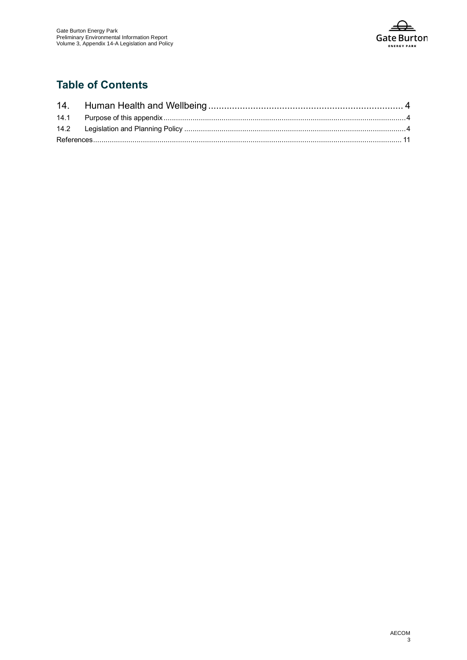

# **Table of Contents**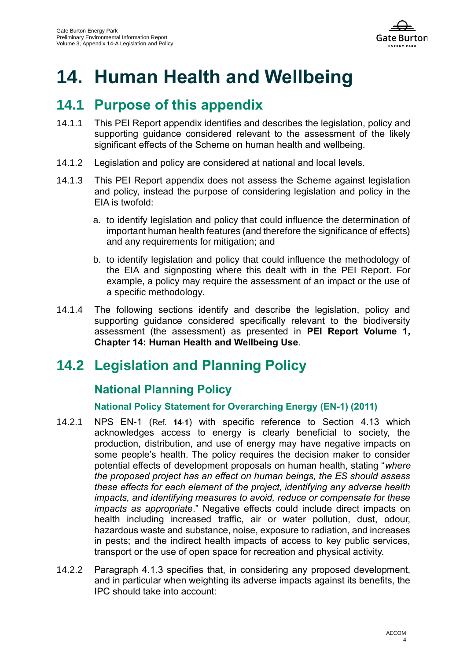

# **14. Human Health and Wellbeing**

# **14.1 Purpose of this appendix**

- 14.1.1 This PEI Report appendix identifies and describes the legislation, policy and supporting guidance considered relevant to the assessment of the likely significant effects of the Scheme on human health and wellbeing.
- 14.1.2 Legislation and policy are considered at national and local levels.
- 14.1.3 This PEI Report appendix does not assess the Scheme against legislation and policy, instead the purpose of considering legislation and policy in the EIA is twofold:
	- a. to identify legislation and policy that could influence the determination of important human health features (and therefore the significance of effects) and any requirements for mitigation; and
	- b. to identify legislation and policy that could influence the methodology of the EIA and signposting where this dealt with in the PEI Report. For example, a policy may require the assessment of an impact or the use of a specific methodology.
- 14.1.4 The following sections identify and describe the legislation, policy and supporting guidance considered specifically relevant to the biodiversity assessment (the assessment) as presented in **PEI Report Volume 1, Chapter 14: Human Health and Wellbeing Use**.

# **14.2 Legislation and Planning Policy**

# **National Planning Policy**

# **National Policy Statement for Overarching Energy (EN-1) (2011)**

- 14.2.1 NPS EN-1 ([Ref.](#page-10-0) **14**-**1**) with specific reference to Section 4.13 which acknowledges access to energy is clearly beneficial to society, the production, distribution, and use of energy may have negative impacts on some people's health. The policy requires the decision maker to consider potential effects of development proposals on human health, stating "*where the proposed project has an effect on human beings, the ES should assess these effects for each element of the project, identifying any adverse health impacts, and identifying measures to avoid, reduce or compensate for these impacts as appropriate*." Negative effects could include direct impacts on health including increased traffic, air or water pollution, dust, odour, hazardous waste and substance, noise, exposure to radiation, and increases in pests; and the indirect health impacts of access to key public services, transport or the use of open space for recreation and physical activity.
- 14.2.2 Paragraph 4.1.3 specifies that, in considering any proposed development, and in particular when weighting its adverse impacts against its benefits, the IPC should take into account: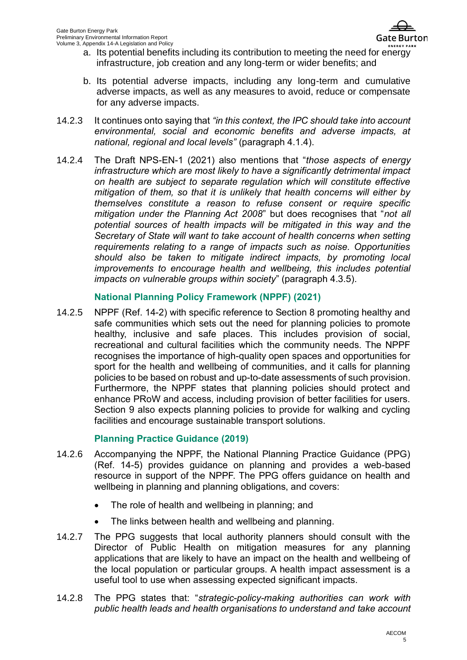- a. Its potential benefits including its contribution to meeting the need for energy infrastructure, job creation and any long-term or wider benefits; and
- b. Its potential adverse impacts, including any long-term and cumulative adverse impacts, as well as any measures to avoid, reduce or compensate for any adverse impacts.
- 14.2.3 It continues onto saying that *"in this context, the IPC should take into account environmental, social and economic benefits and adverse impacts, at national, regional and local levels"* (paragraph 4.1.4).
- 14.2.4 The Draft NPS-EN-1 (2021) also mentions that "*those aspects of energy infrastructure which are most likely to have a significantly detrimental impact on health are subject to separate regulation which will constitute effective mitigation of them, so that it is unlikely that health concerns will either by themselves constitute a reason to refuse consent or require specific mitigation under the Planning Act 2008*" but does recognises that "*not all potential sources of health impacts will be mitigated in this way and the Secretary of State will want to take account of health concerns when setting requirements relating to a range of impacts such as noise. Opportunities should also be taken to mitigate indirect impacts, by promoting local improvements to encourage health and wellbeing, this includes potential impacts on vulnerable groups within society*" (paragraph 4.3.5).

### **National Planning Policy Framework (NPPF) (2021)**

14.2.5 NPPF [\(Ref. 14-2\)](#page-10-1) with specific reference to Section 8 promoting healthy and safe communities which sets out the need for planning policies to promote healthy, inclusive and safe places. This includes provision of social, recreational and cultural facilities which the community needs. The NPPF recognises the importance of high-quality open spaces and opportunities for sport for the health and wellbeing of communities, and it calls for planning policies to be based on robust and up-to-date assessments of such provision. Furthermore, the NPPF states that planning policies should protect and enhance PRoW and access, including provision of better facilities for users. Section 9 also expects planning policies to provide for walking and cycling facilities and encourage sustainable transport solutions.

# **Planning Practice Guidance (2019)**

- 14.2.6 Accompanying the NPPF, the National Planning Practice Guidance (PPG) [\(Ref. 14-5\)](#page-10-2) provides guidance on planning and provides a web-based resource in support of the NPPF. The PPG offers guidance on health and wellbeing in planning and planning obligations, and covers:
	- The role of health and wellbeing in planning; and
	- The links between health and wellbeing and planning.
- 14.2.7 The PPG suggests that local authority planners should consult with the Director of Public Health on mitigation measures for any planning applications that are likely to have an impact on the health and wellbeing of the local population or particular groups. A health impact assessment is a useful tool to use when assessing expected significant impacts.
- 14.2.8 The PPG states that: "*strategic-policy-making authorities can work with public health leads and health organisations to understand and take account*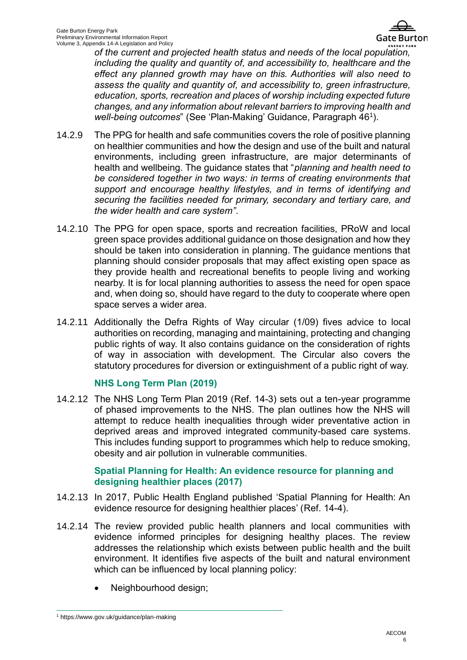

*of the current and projected health status and needs of the local population, including the quality and quantity of, and accessibility to, healthcare and the effect any planned growth may have on this. Authorities will also need to assess the quality and quantity of, and accessibility to, green infrastructure, education, sports, recreation and places of worship including expected future changes, and any information about relevant barriers to improving health and*  well-being outcomes" (See 'Plan-Making' Guidance, Paragraph 46<sup>1</sup>).

- 14.2.9 The PPG for health and safe communities covers the role of positive planning on healthier communities and how the design and use of the built and natural environments, including green infrastructure, are major determinants of health and wellbeing. The guidance states that "*planning and health need to be considered together in two ways: in terms of creating environments that support and encourage healthy lifestyles, and in terms of identifying and securing the facilities needed for primary, secondary and tertiary care, and the wider health and care system"*.
- 14.2.10 The PPG for open space, sports and recreation facilities, PRoW and local green space provides additional guidance on those designation and how they should be taken into consideration in planning. The guidance mentions that planning should consider proposals that may affect existing open space as they provide health and recreational benefits to people living and working nearby. It is for local planning authorities to assess the need for open space and, when doing so, should have regard to the duty to cooperate where open space serves a wider area.
- 14.2.11 Additionally the Defra Rights of Way circular (1/09) fives advice to local authorities on recording, managing and maintaining, protecting and changing public rights of way. It also contains guidance on the consideration of rights of way in association with development. The Circular also covers the statutory procedures for diversion or extinguishment of a public right of way.

### **NHS Long Term Plan (2019)**

14.2.12 The NHS Long Term Plan 2019 [\(Ref. 14-3\)](#page-10-3) sets out a ten-year programme of phased improvements to the NHS. The plan outlines how the NHS will attempt to reduce health inequalities through wider preventative action in deprived areas and improved integrated community-based care systems. This includes funding support to programmes which help to reduce smoking, obesity and air pollution in vulnerable communities.

### **Spatial Planning for Health: An evidence resource for planning and designing healthier places (2017)**

- 14.2.13 In 2017, Public Health England published 'Spatial Planning for Health: An evidence resource for designing healthier places' [\(Ref. 14-4\)](#page-10-4).
- 14.2.14 The review provided public health planners and local communities with evidence informed principles for designing healthy places. The review addresses the relationship which exists between public health and the built environment. It identifies five aspects of the built and natural environment which can be influenced by local planning policy:
	- Neighbourhood design;

<sup>1</sup> https://www.gov.uk/guidance/plan-making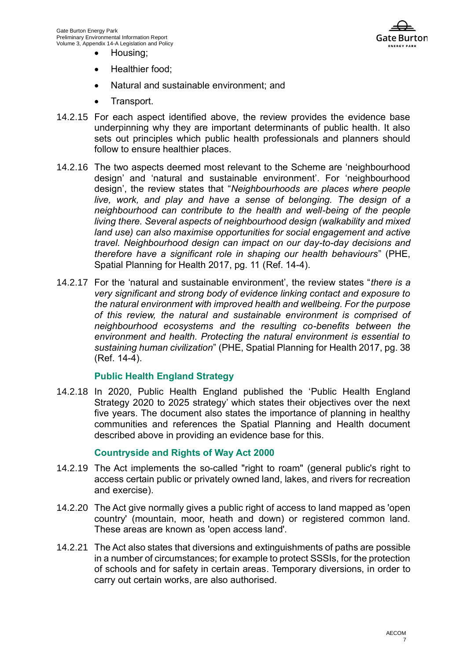

- Housing;
- Healthier food;
- Natural and sustainable environment; and
- Transport.
- 14.2.15 For each aspect identified above, the review provides the evidence base underpinning why they are important determinants of public health. It also sets out principles which public health professionals and planners should follow to ensure healthier places.
- 14.2.16 The two aspects deemed most relevant to the Scheme are 'neighbourhood design' and 'natural and sustainable environment'. For 'neighbourhood design', the review states that "*Neighbourhoods are places where people live, work, and play and have a sense of belonging. The design of a neighbourhood can contribute to the health and well-being of the people living there. Several aspects of neighbourhood design (walkability and mixed land use) can also maximise opportunities for social engagement and active travel. Neighbourhood design can impact on our day-to-day decisions and therefore have a significant role in shaping our health behaviours*" (PHE, Spatial Planning for Health 2017, pg. 11 [\(Ref. 14-4\)](#page-10-4).
- 14.2.17 For the 'natural and sustainable environment', the review states "*there is a very significant and strong body of evidence linking contact and exposure to the natural environment with improved health and wellbeing. For the purpose of this review, the natural and sustainable environment is comprised of neighbourhood ecosystems and the resulting co-benefits between the environment and health. Protecting the natural environment is essential to sustaining human civilization*" (PHE, Spatial Planning for Health 2017, pg. 38 [\(Ref. 14-4\)](#page-10-4).

#### **Public Health England Strategy**

14.2.18 In 2020, Public Health England published the 'Public Health England Strategy 2020 to 2025 strategy' which states their objectives over the next five years. The document also states the importance of planning in healthy communities and references the Spatial Planning and Health document described above in providing an evidence base for this.

### **Countryside and Rights of Way Act 2000**

- 14.2.19 The Act implements the so-called "right to roam" (general public's right to access certain public or privately owned land, lakes, and rivers for recreation and exercise).
- 14.2.20 The Act give normally gives a public right of access to land mapped as 'open country' (mountain, moor, heath and down) or registered common land. These areas are known as 'open access land'.
- 14.2.21 The Act also states that diversions and extinguishments of paths are possible in a number of circumstances; for example to protect SSSIs, for the protection of schools and for safety in certain areas. Temporary diversions, in order to carry out certain works, are also authorised.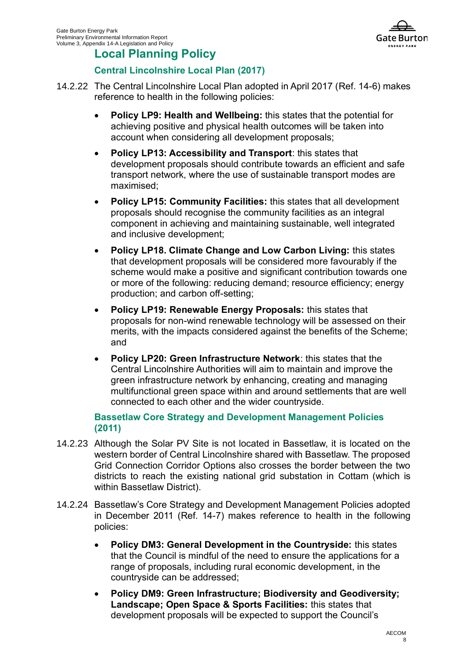

# **Local Planning Policy**

# **Central Lincolnshire Local Plan (2017)**

- 14.2.22 The Central Lincolnshire Local Plan adopted in April 2017 [\(Ref. 14-6\)](#page-10-5) makes reference to health in the following policies:
	- **Policy LP9: Health and Wellbeing:** this states that the potential for achieving positive and physical health outcomes will be taken into account when considering all development proposals;
	- **Policy LP13: Accessibility and Transport**: this states that development proposals should contribute towards an efficient and safe transport network, where the use of sustainable transport modes are maximised;
	- **Policy LP15: Community Facilities:** this states that all development proposals should recognise the community facilities as an integral component in achieving and maintaining sustainable, well integrated and inclusive development;
	- **Policy LP18. Climate Change and Low Carbon Living:** this states that development proposals will be considered more favourably if the scheme would make a positive and significant contribution towards one or more of the following: reducing demand; resource efficiency; energy production; and carbon off-setting;
	- **Policy LP19: Renewable Energy Proposals:** this states that proposals for non-wind renewable technology will be assessed on their merits, with the impacts considered against the benefits of the Scheme; and
	- **Policy LP20: Green Infrastructure Network**: this states that the Central Lincolnshire Authorities will aim to maintain and improve the green infrastructure network by enhancing, creating and managing multifunctional green space within and around settlements that are well connected to each other and the wider countryside.

### **Bassetlaw Core Strategy and Development Management Policies (2011)**

- 14.2.23 Although the Solar PV Site is not located in Bassetlaw, it is located on the western border of Central Lincolnshire shared with Bassetlaw. The proposed Grid Connection Corridor Options also crosses the border between the two districts to reach the existing national grid substation in Cottam (which is within Bassetlaw District).
- 14.2.24 Bassetlaw's Core Strategy and Development Management Policies adopted in December 2011 [\(Ref. 14-7\)](#page-10-6) makes reference to health in the following policies:
	- **Policy DM3: General Development in the Countryside:** this states that the Council is mindful of the need to ensure the applications for a range of proposals, including rural economic development, in the countryside can be addressed;
	- **Policy DM9: Green Infrastructure; Biodiversity and Geodiversity; Landscape; Open Space & Sports Facilities:** this states that development proposals will be expected to support the Council's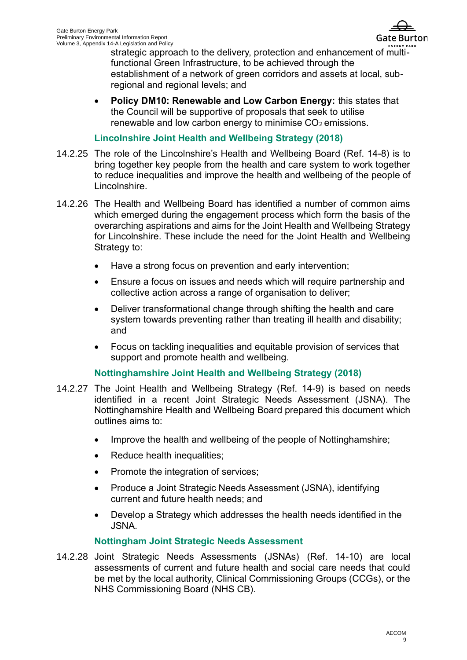

strategic approach to the delivery, protection and enhancement of multifunctional Green Infrastructure, to be achieved through the establishment of a network of green corridors and assets at local, subregional and regional levels; and

• **Policy DM10: Renewable and Low Carbon Energy:** this states that the Council will be supportive of proposals that seek to utilise renewable and low carbon energy to minimise  $CO<sub>2</sub>$  emissions.

### **Lincolnshire Joint Health and Wellbeing Strategy (2018)**

- 14.2.25 The role of the Lincolnshire's Health and Wellbeing Board [\(Ref. 14-8\)](#page-10-7) is to bring together key people from the health and care system to work together to reduce inequalities and improve the health and wellbeing of the people of Lincolnshire.
- 14.2.26 The Health and Wellbeing Board has identified a number of common aims which emerged during the engagement process which form the basis of the overarching aspirations and aims for the Joint Health and Wellbeing Strategy for Lincolnshire. These include the need for the Joint Health and Wellbeing Strategy to:
	- Have a strong focus on prevention and early intervention;
	- Ensure a focus on issues and needs which will require partnership and collective action across a range of organisation to deliver;
	- Deliver transformational change through shifting the health and care system towards preventing rather than treating ill health and disability; and
	- Focus on tackling inequalities and equitable provision of services that support and promote health and wellbeing.

# **Nottinghamshire Joint Health and Wellbeing Strategy (2018)**

- 14.2.27 The Joint Health and Wellbeing Strategy [\(Ref. 14-9\)](#page-10-8) is based on needs identified in a recent Joint Strategic Needs Assessment (JSNA). The Nottinghamshire Health and Wellbeing Board prepared this document which outlines aims to:
	- Improve the health and wellbeing of the people of Nottinghamshire;
	- Reduce health inequalities;
	- Promote the integration of services;
	- Produce a Joint Strategic Needs Assessment (JSNA), identifying current and future health needs; and
	- Develop a Strategy which addresses the health needs identified in the JSNA.

# **Nottingham Joint Strategic Needs Assessment**

14.2.28 Joint Strategic Needs Assessments (JSNAs) [\(Ref. 14-10\)](#page-10-9) are local assessments of current and future health and social care needs that could be met by the local authority, Clinical Commissioning Groups (CCGs), or the NHS Commissioning Board (NHS CB).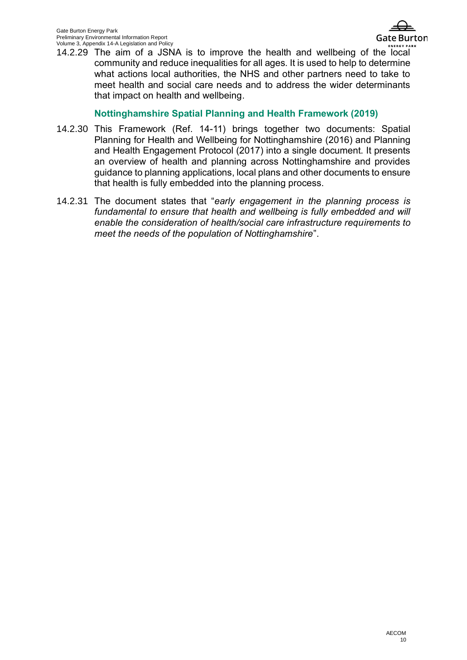

14.2.29 The aim of a JSNA is to improve the health and wellbeing of the local community and reduce inequalities for all ages. It is used to help to determine what actions local authorities, the NHS and other partners need to take to meet health and social care needs and to address the wider determinants that impact on health and wellbeing.

## **Nottinghamshire Spatial Planning and Health Framework (2019)**

- 14.2.30 This Framework [\(Ref. 14-11\)](#page-10-10) brings together two documents: Spatial Planning for Health and Wellbeing for Nottinghamshire (2016) and Planning and Health Engagement Protocol (2017) into a single document. It presents an overview of health and planning across Nottinghamshire and provides guidance to planning applications, local plans and other documents to ensure that health is fully embedded into the planning process.
- 14.2.31 The document states that "*early engagement in the planning process is*  fundamental to ensure that health and wellbeing is fully embedded and will *enable the consideration of health/social care infrastructure requirements to meet the needs of the population of Nottinghamshire*".